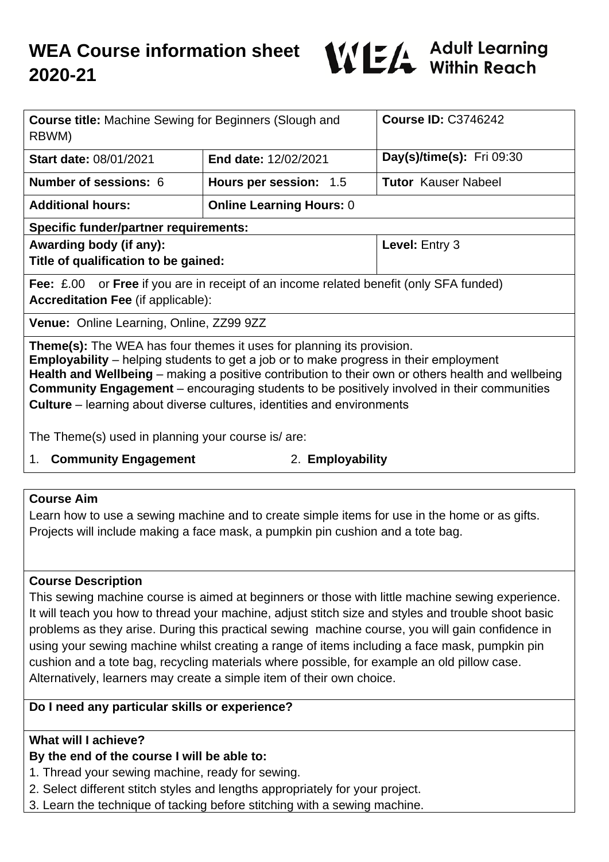

| <b>Course title:</b> Machine Sewing for Beginners (Slough and<br>RBWM)                                                                                                                                                                                                                                                                                                                                                                                                  |                                 | <b>Course ID: C3746242</b>       |
|-------------------------------------------------------------------------------------------------------------------------------------------------------------------------------------------------------------------------------------------------------------------------------------------------------------------------------------------------------------------------------------------------------------------------------------------------------------------------|---------------------------------|----------------------------------|
| <b>Start date: 08/01/2021</b>                                                                                                                                                                                                                                                                                                                                                                                                                                           | <b>End date: 12/02/2021</b>     | <b>Day(s)/time(s):</b> Fri 09:30 |
| <b>Number of sessions: 6</b>                                                                                                                                                                                                                                                                                                                                                                                                                                            | Hours per session: 1.5          | <b>Tutor Kauser Nabeel</b>       |
| <b>Additional hours:</b>                                                                                                                                                                                                                                                                                                                                                                                                                                                | <b>Online Learning Hours: 0</b> |                                  |
| <b>Specific funder/partner requirements:</b>                                                                                                                                                                                                                                                                                                                                                                                                                            |                                 |                                  |
| Awarding body (if any):                                                                                                                                                                                                                                                                                                                                                                                                                                                 |                                 | <b>Level: Entry 3</b>            |
| Title of qualification to be gained:                                                                                                                                                                                                                                                                                                                                                                                                                                    |                                 |                                  |
| <b>Fee:</b> £.00 or <b>Free</b> if you are in receipt of an income related benefit (only SFA funded)<br><b>Accreditation Fee (if applicable):</b>                                                                                                                                                                                                                                                                                                                       |                                 |                                  |
| Venue: Online Learning, Online, ZZ99 9ZZ                                                                                                                                                                                                                                                                                                                                                                                                                                |                                 |                                  |
| <b>Theme(s):</b> The WEA has four themes it uses for planning its provision.<br><b>Employability</b> – helping students to get a job or to make progress in their employment<br>Health and Wellbeing – making a positive contribution to their own or others health and wellbeing<br><b>Community Engagement</b> – encouraging students to be positively involved in their communities<br><b>Culture</b> – learning about diverse cultures, identities and environments |                                 |                                  |

The Theme(s) used in planning your course is/ are:

1. **Community Engagement** 2. **Employability**

#### **Course Aim**

Learn how to use a sewing machine and to create simple items for use in the home or as gifts. Projects will include making a face mask, a pumpkin pin cushion and a tote bag.

#### **Course Description**

This sewing machine course is aimed at beginners or those with little machine sewing experience. It will teach you how to thread your machine, adjust stitch size and styles and trouble shoot basic problems as they arise. During this practical sewing machine course, you will gain confidence in using your sewing machine whilst creating a range of items including a face mask, pumpkin pin cushion and a tote bag, recycling materials where possible, for example an old pillow case. Alternatively, learners may create a simple item of their own choice.

## **Do I need any particular skills or experience?**

## **What will I achieve?**

## **By the end of the course I will be able to:**

1. Thread your sewing machine, ready for sewing.

- 2. Select different stitch styles and lengths appropriately for your project.
- 3. Learn the technique of tacking before stitching with a sewing machine.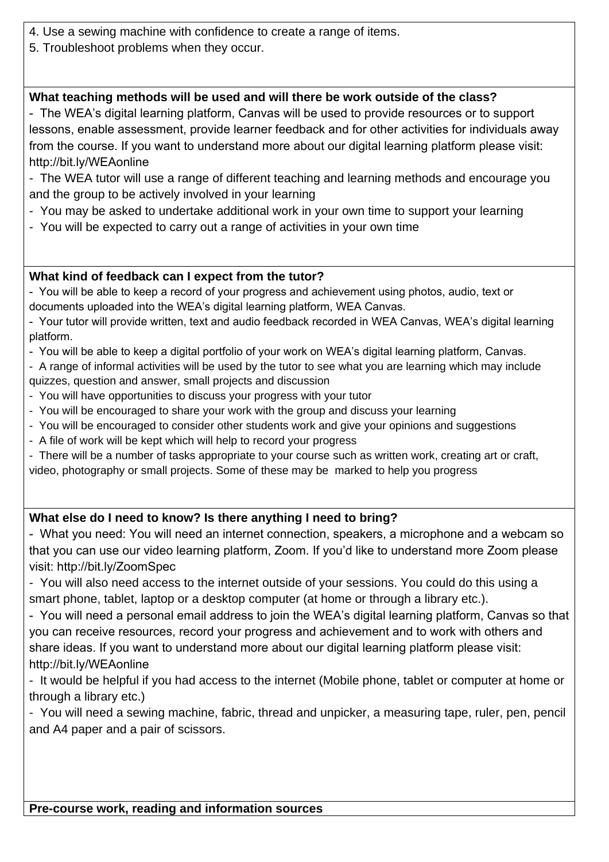- 4. Use a sewing machine with confidence to create a range of items.
- 5. Troubleshoot problems when they occur.

# **What teaching methods will be used and will there be work outside of the class?**

- The WEA's digital learning platform, Canvas will be used to provide resources or to support lessons, enable assessment, provide learner feedback and for other activities for individuals away from the course. If you want to understand more about our digital learning platform please visit: http://bit.ly/WEAonline

- The WEA tutor will use a range of different teaching and learning methods and encourage you and the group to be actively involved in your learning
- You may be asked to undertake additional work in your own time to support your learning
- You will be expected to carry out a range of activities in your own time

# **What kind of feedback can I expect from the tutor?**

- You will be able to keep a record of your progress and achievement using photos, audio, text or documents uploaded into the WEA's digital learning platform, WEA Canvas.

- Your tutor will provide written, text and audio feedback recorded in WEA Canvas, WEA's digital learning platform.

- You will be able to keep a digital portfolio of your work on WEA's digital learning platform, Canvas.

- A range of informal activities will be used by the tutor to see what you are learning which may include quizzes, question and answer, small projects and discussion

- You will have opportunities to discuss your progress with your tutor
- You will be encouraged to share your work with the group and discuss your learning
- You will be encouraged to consider other students work and give your opinions and suggestions
- A file of work will be kept which will help to record your progress

- There will be a number of tasks appropriate to your course such as written work, creating art or craft, video, photography or small projects. Some of these may be marked to help you progress

# **What else do I need to know? Is there anything I need to bring?**

- What you need: You will need an internet connection, speakers, a microphone and a webcam so that you can use our video learning platform, Zoom. If you'd like to understand more Zoom please visit: http://bit.ly/ZoomSpec

- You will also need access to the internet outside of your sessions. You could do this using a smart phone, tablet, laptop or a desktop computer (at home or through a library etc.).

- You will need a personal email address to join the WEA's digital learning platform, Canvas so that you can receive resources, record your progress and achievement and to work with others and share ideas. If you want to understand more about our digital learning platform please visit: http://bit.ly/WEAonline

- It would be helpful if you had access to the internet (Mobile phone, tablet or computer at home or through a library etc.)

- You will need a sewing machine, fabric, thread and unpicker, a measuring tape, ruler, pen, pencil and A4 paper and a pair of scissors.